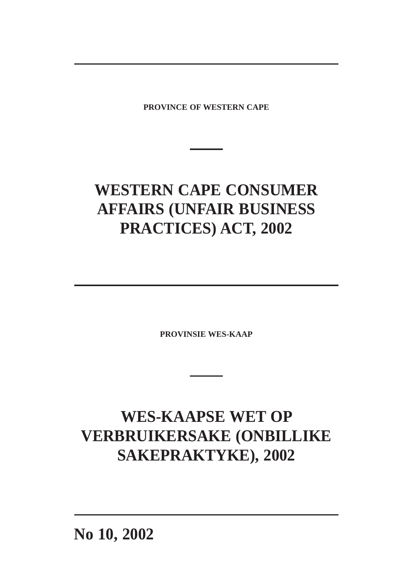**PROVINCE OF WESTERN CAPE**

# **WESTERN CAPE CONSUMER AFFAIRS (UNFAIR BUSINESS PRACTICES) ACT, 2002**

**PROVINSIE WES-KAAP**

# **WES-KAAPSE WET OP VERBRUIKERSAKE (ONBILLIKE SAKEPRAKTYKE), 2002**

**No 10, 2002**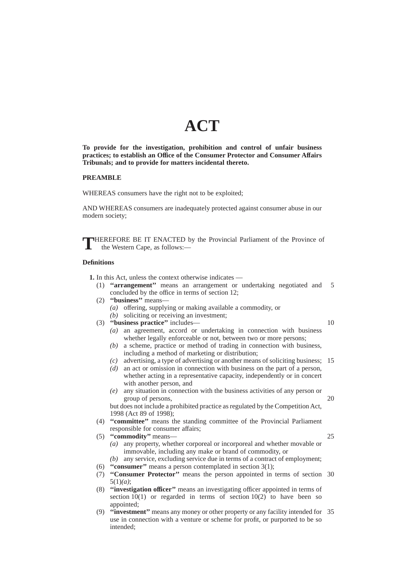## **ACT**

**To provide for the investigation, prohibition and control of unfair business practices; to establish an Office of the Consumer Protector and Consumer Affairs Tribunals; and to provide for matters incidental thereto.**

## **PREAMBLE**

WHEREAS consumers have the right not to be exploited;

AND WHEREAS consumers are inadequately protected against consumer abuse in our modern society;

**T**HEREFORE BE IT ENACTED by the Provincial Parliament of the Province of the Western Cape, as follows:—

#### **Definitions**

**1.** In this Act, unless the context otherwise indicates —

- (1) **''arrangement''** means an arrangement or undertaking negotiated and concluded by the office in terms of section 12; 5
- (2) **"business"** means-*(a)* offering, supplying or making available a commodity, or
	- *(b)* soliciting or receiving an investment;
- (3) **''business practice''** includes—

10

- *(a)* an agreement, accord or undertaking in connection with business whether legally enforceable or not, between two or more persons;
- *(b)* a scheme, practice or method of trading in connection with business, including a method of marketing or distribution;
- *(c)* advertising, a type of advertising or another means of soliciting business; 15
- *(d)* an act or omission in connection with business on the part of a person, whether acting in a representative capacity, independently or in concert with another person, and
- *(e)* any situation in connection with the business activities of any person or group of persons,

but does not include a prohibited practice as regulated by the Competition Act, 1998 (Act 89 of 1998);

- (4) **''committee''** means the standing committee of the Provincial Parliament responsible for consumer affairs;
- (5) **''commodity''** means—

25

- *(a)* any property, whether corporeal or incorporeal and whether movable or immovable, including any make or brand of commodity, or
- *(b)* any service, excluding service due in terms of a contract of employment;
- (6) **''consumer''** means a person contemplated in section 3(1);
- (7) **''Consumer Protector''** means the person appointed in terms of section 30 5(1)*(a)*;
- (8) **''investigation officer''** means an investigating officer appointed in terms of section  $10(1)$  or regarded in terms of section  $10(2)$  to have been so appointed<sup>;</sup>
- (9) **''investment''** means any money or other property or any facility intended for 35use in connection with a venture or scheme for profit, or purported to be so intended;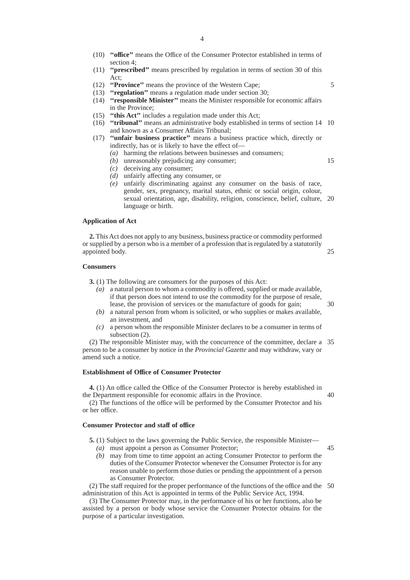- (10) **''office''** means the Office of the Consumer Protector established in terms of section 4;
- (11) **''prescribed''** means prescribed by regulation in terms of section 30 of this Act;
- (12) **''Province''** means the province of the Western Cape;
- (13) **''regulation''** means a regulation made under section 30; (14) **''responsible Minister''** means the Minister responsible for economic affairs in the Province;
- (15) **''this Act''** includes a regulation made under this Act;
- (16) **''tribunal''** means an administrative body established in terms of section 14 10 and known as a Consumer Affairs Tribunal;
- (17) **''unfair business practice''** means a business practice which, directly or indirectly, has or is likely to have the effect of—
	- *(a)* harming the relations between businesses and consumers;
	- *(b)* unreasonably prejudicing any consumer;
	- *(c)* deceiving any consumer;
	- *(d)* unfairly affecting any consumer, or
	- *(e)* unfairly discriminating against any consumer on the basis of race, gender, sex, pregnancy, marital status, ethnic or social origin, colour, sexual orientation, age, disability, religion, conscience, belief, culture, 20 language or birth.

## **Application of Act**

**2.** This Act does not apply to any business, business practice or commodity performed or supplied by a person who is a member of a profession that is regulated by a statutorily appointed body. 25

#### **Consumers**

- **3.** (1) The following are consumers for the purposes of this Act:
	- *(a)* a natural person to whom a commodity is offered, supplied or made available, if that person does not intend to use the commodity for the purpose of resale, lease, the provision of services or the manufacture of goods for gain;
	- *(b)* a natural person from whom is solicited, or who supplies or makes available, an investment, and
	- *(c)* a person whom the responsible Minister declares to be a consumer in terms of subsection (2).

(2) The responsible Minister may, with the concurrence of the committee, declare a 35 person to be a consumer by notice in the *Provincial Gazette* and may withdraw, vary or amend such a notice.

## **Establishment of Office of Consumer Protector**

**4.** (1) An office called the Office of the Consumer Protector is hereby established in the Department responsible for economic affairs in the Province. 40

(2) The functions of the office will be performed by the Consumer Protector and his or her office.

## **Consumer Protector and staff of office**

**5.** (1) Subject to the laws governing the Public Service, the responsible Minister—

*(a)* must appoint a person as Consumer Protector;

45

*(b)* may from time to time appoint an acting Consumer Protector to perform the duties of the Consumer Protector whenever the Consumer Protector is for any reason unable to perform those duties or pending the appointment of a person as Consumer Protector.

(2) The staff required for the proper performance of the functions of the office and the 50administration of this Act is appointed in terms of the Public Service Act, 1994.

(3) The Consumer Protector may, in the performance of his or her functions, also be assisted by a person or body whose service the Consumer Protector obtains for the purpose of a particular investigation.

15

5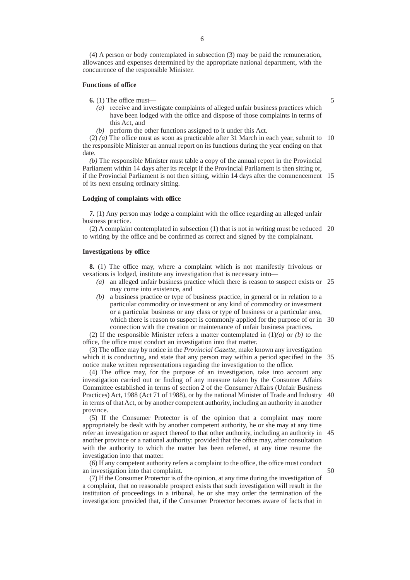(4) A person or body contemplated in subsection (3) may be paid the remuneration, allowances and expenses determined by the appropriate national department, with the concurrence of the responsible Minister.

## **Functions of office**

**6.** (1) The office must—

5

50

- *(a)* receive and investigate complaints of alleged unfair business practices which have been lodged with the office and dispose of those complaints in terms of this Act, and
- *(b)* perform the other functions assigned to it under this Act.

(2) *(a)* The office must as soon as practicable after 31 March in each year, submit to 10 the responsible Minister an annual report on its functions during the year ending on that date.

*(b)* The responsible Minister must table a copy of the annual report in the Provincial Parliament within 14 days after its receipt if the Provincial Parliament is then sitting or, if the Provincial Parliament is not then sitting, within 14 days after the commencement 15 of its next ensuing ordinary sitting.

#### **Lodging of complaints with office**

**7.** (1) Any person may lodge a complaint with the office regarding an alleged unfair business practice.

(2) A complaint contemplated in subsection (1) that is not in writing must be reduced 20 to writing by the office and be confirmed as correct and signed by the complainant.

#### **Investigations by office**

**8.** (1) The office may, where a complaint which is not manifestly frivolous or vexatious is lodged, institute any investigation that is necessary into—

- *(a)* an alleged unfair business practice which there is reason to suspect exists or 25 may come into existence, and
- *(b)* a business practice or type of business practice, in general or in relation to a particular commodity or investment or any kind of commodity or investment or a particular business or any class or type of business or a particular area, which there is reason to suspect is commonly applied for the purpose of or in 30 connection with the creation or maintenance of unfair business practices.

(2) If the responsible Minister refers a matter contemplated in (1)*(a)* or *(b)* to the office, the office must conduct an investigation into that matter.

(3) The office may by notice in the *Provincial Gazette,* make known any investigation which it is conducting, and state that any person may within a period specified in the 35 notice make written representations regarding the investigation to the office.

(4) The office may, for the purpose of an investigation, take into account any investigation carried out or finding of any measure taken by the Consumer Affairs Committee established in terms of section 2 of the Consumer Affairs (Unfair Business Practices) Act, 1988 (Act 71 of 1988), or by the national Minister of Trade and Industry 40 in terms of that Act, or by another competent authority, including an authority in another province.

(5) If the Consumer Protector is of the opinion that a complaint may more appropriately be dealt with by another competent authority, he or she may at any time refer an investigation or aspect thereof to that other authority, including an authority in 45 another province or a national authority: provided that the office may, after consultation with the authority to which the matter has been referred, at any time resume the investigation into that matter.

(6) If any competent authority refers a complaint to the office, the office must conduct an investigation into that complaint.

(7) If the Consumer Protector is of the opinion, at any time during the investigation of a complaint, that no reasonable prospect exists that such investigation will result in the institution of proceedings in a tribunal, he or she may order the termination of the investigation: provided that, if the Consumer Protector becomes aware of facts that in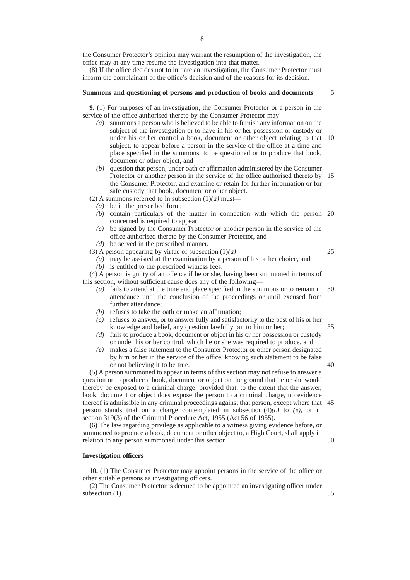the Consumer Protector's opinion may warrant the resumption of the investigation, the office may at any time resume the investigation into that matter.

(8) If the office decides not to initiate an investigation, the Consumer Protector must inform the complainant of the office's decision and of the reasons for its decision.

## **Summons and questioning of persons and production of books and documents**

5

**9.** (1) For purposes of an investigation, the Consumer Protector or a person in the service of the office authorised thereto by the Consumer Protector may—

- *(a)* summons a person who is believed to be able to furnish any information on the subject of the investigation or to have in his or her possession or custody or under his or her control a book, document or other object relating to that 10 subject, to appear before a person in the service of the office at a time and place specified in the summons, to be questioned or to produce that book, document or other object, and
- *(b)* question that person, under oath or affirmation administered by the Consumer Protector or another person in the service of the office authorised thereto by 15 the Consumer Protector, and examine or retain for further information or for safe custody that book, document or other object.

(2) A summons referred to in subsection  $(1)(a)$  must-

- *(a)* be in the prescribed form;
- *(b)* contain particulars of the matter in connection with which the person 20 concerned is required to appear;
- *(c)* be signed by the Consumer Protector or another person in the service of the office authorised thereto by the Consumer Protector, and
- *(d)* be served in the prescribed manner.
- (3) A person appearing by virtue of subsection  $(1)(a)$ —

25

35

40

*(a)* may be assisted at the examination by a person of his or her choice, and *(b)* is entitled to the prescribed witness fees.

(4) A person is guilty of an offence if he or she, having been summoned in terms of this section, without sufficient cause does any of the following—

- *(a)* fails to attend at the time and place specified in the summons or to remain in 30 attendance until the conclusion of the proceedings or until excused from further attendance;
- *(b)* refuses to take the oath or make an affirmation;
- *(c)* refuses to answer, or to answer fully and satisfactorily to the best of his or her knowledge and belief, any question lawfully put to him or her;
- *(d)* fails to produce a book, document or object in his or her possession or custody or under his or her control, which he or she was required to produce, and
- *(e)* makes a false statement to the Consumer Protector or other person designated by him or her in the service of the office, knowing such statement to be false or not believing it to be true.

(5) A person summoned to appear in terms of this section may not refuse to answer a question or to produce a book, document or object on the ground that he or she would thereby be exposed to a criminal charge: provided that, to the extent that the answer, book, document or object does expose the person to a criminal charge, no evidence thereof is admissible in any criminal proceedings against that person, except where that 45 person stands trial on a charge contemplated in subsection (4)*(c)* to *(e)*, or in section 319(3) of the Criminal Procedure Act, 1955 (Act 56 of 1955).

(6) The law regarding privilege as applicable to a witness giving evidence before, or summoned to produce a book, document or other object to, a High Court, shall apply in relation to any person summoned under this section.

## **Investigation officers**

**10.** (1) The Consumer Protector may appoint persons in the service of the office or other suitable persons as investigating officers.

(2) The Consumer Protector is deemed to be appointed an investigating officer under subsection  $(1)$ .

55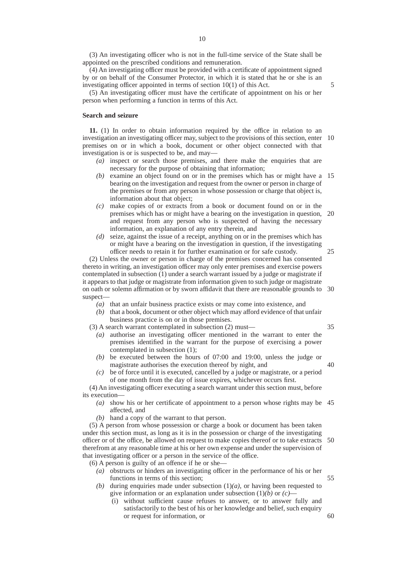(3) An investigating officer who is not in the full-time service of the State shall be appointed on the prescribed conditions and remuneration.

(4) An investigating officer must be provided with a certificate of appointment signed by or on behalf of the Consumer Protector, in which it is stated that he or she is an investigating officer appointed in terms of section 10(1) of this Act.

(5) An investigating officer must have the certificate of appointment on his or her person when performing a function in terms of this Act.

#### **Search and seizure**

**11.** (1) In order to obtain information required by the office in relation to an investigation an investigating officer may, subject to the provisions of this section, enter 10 premises on or in which a book, document or other object connected with that investigation is or is suspected to be, and may—

- *(a)* inspect or search those premises, and there make the enquiries that are necessary for the purpose of obtaining that information;
- *(b)* examine an object found on or in the premises which has or might have a 15 bearing on the investigation and request from the owner or person in charge of the premises or from any person in whose possession or charge that object is, information about that object;
- *(c)* make copies of or extracts from a book or document found on or in the premises which has or might have a bearing on the investigation in question, 20 and request from any person who is suspected of having the necessary information, an explanation of any entry therein, and
- *(d)* seize, against the issue of a receipt, anything on or in the premises which has or might have a bearing on the investigation in question, if the investigating officer needs to retain it for further examination or for safe custody. 25

(2) Unless the owner or person in charge of the premises concerned has consented thereto in writing, an investigation officer may only enter premises and exercise powers contemplated in subsection (1) under a search warrant issued by a judge or magistrate if it appears to that judge or magistrate from information given to such judge or magistrate on oath or solemn affirmation or by sworn affidavit that there are reasonable grounds to 30 suspect—

- *(a)* that an unfair business practice exists or may come into existence, and
- *(b)* that a book, document or other object which may afford evidence of that unfair business practice is on or in those premises.
- (3) A search warrant contemplated in subsection (2) must—
	- *(a)* authorise an investigating officer mentioned in the warrant to enter the premises identified in the warrant for the purpose of exercising a power contemplated in subsection (1);
	- *(b)* be executed between the hours of 07:00 and 19:00, unless the judge or magistrate authorises the execution thereof by night, and
	- *(c)* be of force until it is executed, cancelled by a judge or magistrate, or a period of one month from the day of issue expires, whichever occurs first.

(4) An investigating officer executing a search warrant under this section must, before its execution—

- *(a)* show his or her certificate of appointment to a person whose rights may be 45 affected, and
- *(b)* hand a copy of the warrant to that person.

(5) A person from whose possession or charge a book or document has been taken under this section must, as long as it is in the possession or charge of the investigating officer or of the office, be allowed on request to make copies thereof or to take extracts therefrom at any reasonable time at his or her own expense and under the supervision of that investigating officer or a person in the service of the office. 50

(6) A person is guilty of an offence if he or she—

- *(a)* obstructs or hinders an investigating officer in the performance of his or her functions in terms of this section; 55
- *(b)* during enquiries made under subsection (1)*(a)*, or having been requested to give information or an explanation under subsection  $(1)(b)$  or  $(c)$ 
	- (i) without sufficient cause refuses to answer, or to answer fully and satisfactorily to the best of his or her knowledge and belief, such enquiry or request for information, or

35

60

40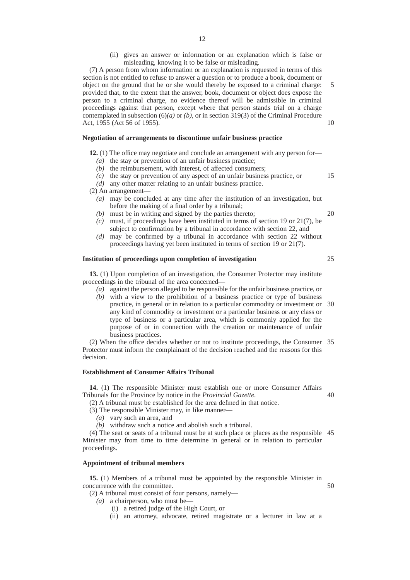- 12
- (ii) gives an answer or information or an explanation which is false or misleading, knowing it to be false or misleading.

(7) A person from whom information or an explanation is requested in terms of this section is not entitled to refuse to answer a question or to produce a book, document or object on the ground that he or she would thereby be exposed to a criminal charge: provided that, to the extent that the answer, book, document or object does expose the person to a criminal charge, no evidence thereof will be admissible in criminal proceedings against that person, except where that person stands trial on a charge contemplated in subsection (6)*(a)* or *(b)*, or in section 319(3) of the Criminal Procedure Act, 1955 (Act 56 of 1955). 5 10

#### **Negotiation of arrangements to discontinue unfair business practice**

**12.** (1) The office may negotiate and conclude an arrangement with any person for—

- *(a)* the stay or prevention of an unfair business practice;
- *(b)* the reimbursement, with interest, of affected consumers;
- *(c)* the stay or prevention of any aspect of an unfair business practice, or 15

*(d)* any other matter relating to an unfair business practice.

*(b)* must be in writing and signed by the parties thereto;

- (2) An arrangement—
	- *(a)* may be concluded at any time after the institution of an investigation, but before the making of a final order by a tribunal;

20

- *(c)* must, if proceedings have been instituted in terms of section 19 or 21(7), be subject to confirmation by a tribunal in accordance with section 22, and
- *(d)* may be confirmed by a tribunal in accordance with section 22 without proceedings having yet been instituted in terms of section 19 or 21(7).

## **Institution of proceedings upon completion of investigation**

**13.** (1) Upon completion of an investigation, the Consumer Protector may institute proceedings in the tribunal of the area concerned—

- *(a)* against the person alleged to be responsible for the unfair business practice, or
- *(b)* with a view to the prohibition of a business practice or type of business practice, in general or in relation to a particular commodity or investment or 30 any kind of commodity or investment or a particular business or any class or type of business or a particular area, which is commonly applied for the purpose of or in connection with the creation or maintenance of unfair business practices.

(2) When the office decides whether or not to institute proceedings, the Consumer 35 Protector must inform the complainant of the decision reached and the reasons for this decision.

## **Establishment of Consumer Affairs Tribunal**

**14.** (1) The responsible Minister must establish one or more Consumer Affairs Tribunals for the Province by notice in the *Provincial Gazette*. 40

(2) A tribunal must be established for the area defined in that notice.

(3) The responsible Minister may, in like manner—

*(a)* vary such an area, and

*(b)* withdraw such a notice and abolish such a tribunal.

(4) The seat or seats of a tribunal must be at such place or places as the responsible 45 Minister may from time to time determine in general or in relation to particular proceedings.

## **Appointment of tribunal members**

**15.** (1) Members of a tribunal must be appointed by the responsible Minister in concurrence with the committee.

(2) A tribunal must consist of four persons, namely—

- $(a)$  a chairperson, who must be-
	- (i) a retired judge of the High Court, or
	- (ii) an attorney, advocate, retired magistrate or a lecturer in law at a

25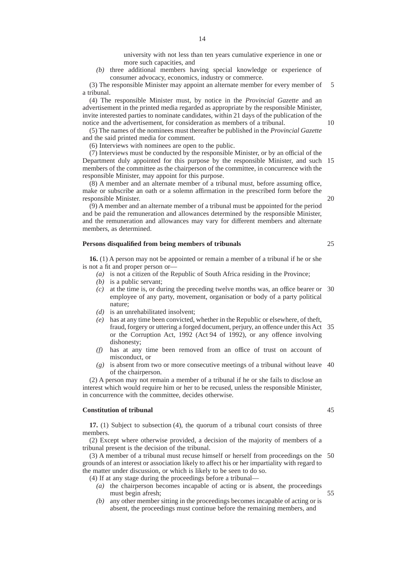university with not less than ten years cumulative experience in one or more such capacities, and

*(b)* three additional members having special knowledge or experience of consumer advocacy, economics, industry or commerce.

(3) The responsible Minister may appoint an alternate member for every member of a tribunal. 5

(4) The responsible Minister must, by notice in the *Provincial Gazette* and an advertisement in the printed media regarded as appropriate by the responsible Minister, invite interested parties to nominate candidates, within 21 days of the publication of the notice and the advertisement, for consideration as members of a tribunal.

(5) The names of the nominees must thereafter be published in the *Provincial Gazette* and the said printed media for comment.

(6) Interviews with nominees are open to the public.

(7) Interviews must be conducted by the responsible Minister, or by an official of the Department duly appointed for this purpose by the responsible Minister, and such 15 members of the committee as the chairperson of the committee, in concurrence with the responsible Minister, may appoint for this purpose.

(8) A member and an alternate member of a tribunal must, before assuming office, make or subscribe an oath or a solemn affirmation in the prescribed form before the responsible Minister.

(9) A member and an alternate member of a tribunal must be appointed for the period and be paid the remuneration and allowances determined by the responsible Minister, and the remuneration and allowances may vary for different members and alternate members, as determined.

## **Persons disqualified from being members of tribunals**

**16.** (1) A person may not be appointed or remain a member of a tribunal if he or she is not a fit and proper person or—

- *(a)* is not a citizen of the Republic of South Africa residing in the Province;
- *(b)* is a public servant;
- *(c)* at the time is, or during the preceding twelve months was, an office bearer or 30 employee of any party, movement, organisation or body of a party political nature;
- *(d)* is an unrehabilitated insolvent;
- *(e)* has at any time been convicted, whether in the Republic or elsewhere, of theft, fraud, forgery or uttering a forged document, perjury, an offence under this Act 35 or the Corruption Act, 1992 (Act 94 of 1992), or any offence involving dishonesty;
- *(f)* has at any time been removed from an office of trust on account of misconduct, or
- *(g)* is absent from two or more consecutive meetings of a tribunal without leave 40 of the chairperson.

(2) A person may not remain a member of a tribunal if he or she fails to disclose an interest which would require him or her to be recused, unless the responsible Minister, in concurrence with the committee, decides otherwise.

## **Constitution of tribunal**

**17.** (1) Subject to subsection (4), the quorum of a tribunal court consists of three members.

(2) Except where otherwise provided, a decision of the majority of members of a tribunal present is the decision of the tribunal.

(3) A member of a tribunal must recuse himself or herself from proceedings on the 50 grounds of an interest or association likely to affect his or her impartiality with regard to the matter under discussion, or which is likely to be seen to do so.

(4) If at any stage during the proceedings before a tribunal—

- *(a)* the chairperson becomes incapable of acting or is absent, the proceedings must begin afresh;
- *(b)* any other member sitting in the proceedings becomes incapable of acting or is absent, the proceedings must continue before the remaining members, and

14

25

20

10

45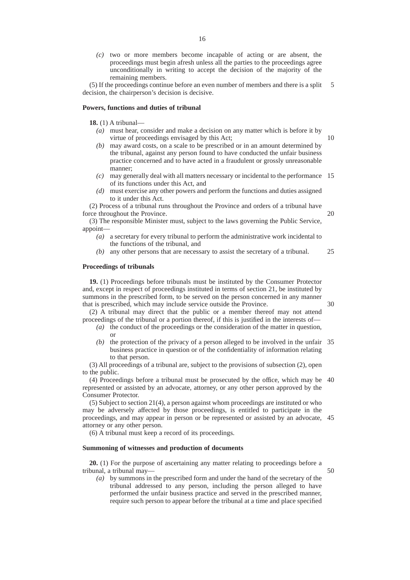*(c)* two or more members become incapable of acting or are absent, the proceedings must begin afresh unless all the parties to the proceedings agree unconditionally in writing to accept the decision of the majority of the remaining members.

(5) If the proceedings continue before an even number of members and there is a split 5 decision, the chairperson's decision is decisive.

#### **Powers, functions and duties of tribunal**

**18.** (1) A tribunal—

- *(a)* must hear, consider and make a decision on any matter which is before it by virtue of proceedings envisaged by this Act;
- *(b)* may award costs, on a scale to be prescribed or in an amount determined by the tribunal, against any person found to have conducted the unfair business practice concerned and to have acted in a fraudulent or grossly unreasonable manner;
- *(c)* may generally deal with all matters necessary or incidental to the performance 15 of its functions under this Act, and
- *(d)* must exercise any other powers and perform the functions and duties assigned to it under this Act.

(2) Process of a tribunal runs throughout the Province and orders of a tribunal have force throughout the Province. 20

(3) The responsible Minister must, subject to the laws governing the Public Service, appoint—

- *(a)* a secretary for every tribunal to perform the administrative work incidental to the functions of the tribunal, and
- *(b)* any other persons that are necessary to assist the secretary of a tribunal. 25

## **Proceedings of tribunals**

**19.** (1) Proceedings before tribunals must be instituted by the Consumer Protector and, except in respect of proceedings instituted in terms of section 21, be instituted by summons in the prescribed form, to be served on the person concerned in any manner that is prescribed, which may include service outside the Province.

30

10

- (2) A tribunal may direct that the public or a member thereof may not attend proceedings of the tribunal or a portion thereof, if this is justified in the interests of—
	- *(a)* the conduct of the proceedings or the consideration of the matter in question, or
	- *(b)* the protection of the privacy of a person alleged to be involved in the unfair 35 business practice in question or of the confidentiality of information relating to that person.

(3) All proceedings of a tribunal are, subject to the provisions of subsection (2), open to the public.

(4) Proceedings before a tribunal must be prosecuted by the office, which may be 40 represented or assisted by an advocate, attorney, or any other person approved by the Consumer Protector.

(5) Subject to section 21(4), a person against whom proceedings are instituted or who may be adversely affected by those proceedings, is entitled to participate in the proceedings, and may appear in person or be represented or assisted by an advocate, 45 attorney or any other person.

(6) A tribunal must keep a record of its proceedings.

## **Summoning of witnesses and production of documents**

**20.** (1) For the purpose of ascertaining any matter relating to proceedings before a tribunal, a tribunal may— 50

*(a)* by summons in the prescribed form and under the hand of the secretary of the tribunal addressed to any person, including the person alleged to have performed the unfair business practice and served in the prescribed manner, require such person to appear before the tribunal at a time and place specified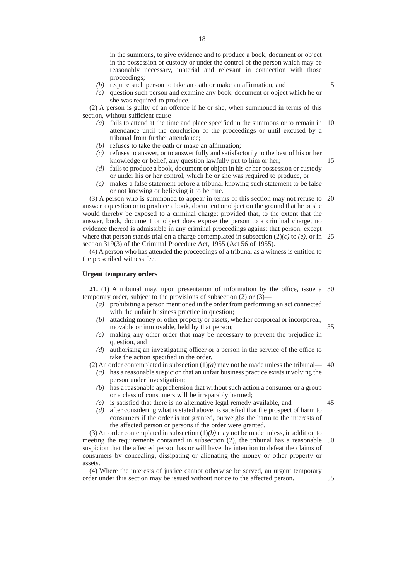in the summons, to give evidence and to produce a book, document or object in the possession or custody or under the control of the person which may be reasonably necessary, material and relevant in connection with those proceedings;

- *(b)* require such person to take an oath or make an affirmation, and
- *(c)* question such person and examine any book, document or object which he or she was required to produce.

(2) A person is guilty of an offence if he or she, when summoned in terms of this section, without sufficient cause—

- *(a)* fails to attend at the time and place specified in the summons or to remain in 10 attendance until the conclusion of the proceedings or until excused by a tribunal from further attendance;
- *(b)* refuses to take the oath or make an affirmation;
- *(c)* refuses to answer, or to answer fully and satisfactorily to the best of his or her knowledge or belief, any question lawfully put to him or her;
- *(d)* fails to produce a book, document or object in his or her possession or custody or under his or her control, which he or she was required to produce, or
- *(e)* makes a false statement before a tribunal knowing such statement to be false or not knowing or believing it to be true.

(3) A person who is summoned to appear in terms of this section may not refuse to 20 answer a question or to produce a book, document or object on the ground that he or she would thereby be exposed to a criminal charge: provided that, to the extent that the answer, book, document or object does expose the person to a criminal charge, no evidence thereof is admissible in any criminal proceedings against that person, except where that person stands trial on a charge contemplated in subsection  $(2)(c)$  to  $(e)$ , or in 25 section 319(3) of the Criminal Procedure Act, 1955 (Act 56 of 1955).

(4) A person who has attended the proceedings of a tribunal as a witness is entitled to the prescribed witness fee.

## **Urgent temporary orders**

**21.** (1) A tribunal may, upon presentation of information by the office, issue a 30 temporary order, subject to the provisions of subsection (2) or (3)—

- *(a)* prohibiting a person mentioned in the order from performing an act connected with the unfair business practice in question;
- *(b)* attaching money or other property or assets, whether corporeal or incorporeal, movable or immovable, held by that person;
- *(c)* making any other order that may be necessary to prevent the prejudice in question, and
- *(d)* authorising an investigating officer or a person in the service of the office to take the action specified in the order.

(2) An order contemplated in subsection  $(1)(a)$  may not be made unless the tribunal— 40

- *(a)* has a reasonable suspicion that an unfair business practice exists involving the person under investigation;
- *(b)* has a reasonable apprehension that without such action a consumer or a group or a class of consumers will be irreparably harmed; *(c)* is satisfied that there is no alternative legal remedy available, and

45

*(d)* after considering what is stated above, is satisfied that the prospect of harm to consumers if the order is not granted, outweighs the harm to the interests of the affected person or persons if the order were granted.

(3) An order contemplated in subsection (1)*(b)* may not be made unless, in addition to meeting the requirements contained in subsection (2), the tribunal has a reasonable suspicion that the affected person has or will have the intention to defeat the claims of consumers by concealing, dissipating or alienating the money or other property or assets. 50

(4) Where the interests of justice cannot otherwise be served, an urgent temporary order under this section may be issued without notice to the affected person.

35

5

15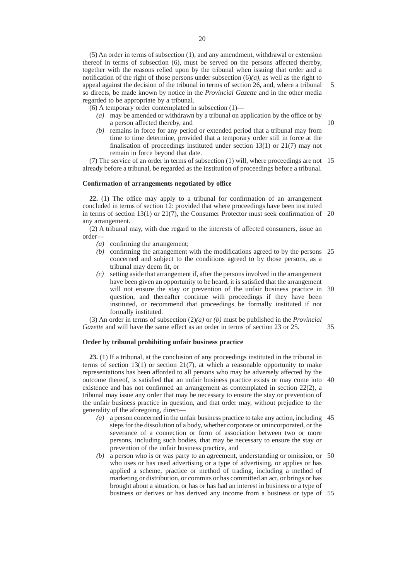(5) An order in terms of subsection (1), and any amendment, withdrawal or extension thereof in terms of subsection (6), must be served on the persons affected thereby, together with the reasons relied upon by the tribunal when issuing that order and a notification of the right of those persons under subsection (6)*(a)*, as well as the right to appeal against the decision of the tribunal in terms of section 26, and, where a tribunal so directs, be made known by notice in the *Provincial Gazette* and in the other media regarded to be appropriate by a tribunal.

5

10

35

(6) A temporary order contemplated in subsection (1)—

- *(a)* may be amended or withdrawn by a tribunal on application by the office or by a person affected thereby, and
- *(b)* remains in force for any period or extended period that a tribunal may from time to time determine, provided that a temporary order still in force at the finalisation of proceedings instituted under section 13(1) or 21(7) may not remain in force beyond that date.

(7) The service of an order in terms of subsection (1) will, where proceedings are not 15 already before a tribunal, be regarded as the institution of proceedings before a tribunal.

#### **Confirmation of arrangements negotiated by office**

**22.** (1) The office may apply to a tribunal for confirmation of an arrangement concluded in terms of section 12: provided that where proceedings have been instituted in terms of section 13(1) or 21(7), the Consumer Protector must seek confirmation of 20 any arrangement.

(2) A tribunal may, with due regard to the interests of affected consumers, issue an order—

- *(a)* confirming the arrangement;
- *(b)* confirming the arrangement with the modifications agreed to by the persons 25 concerned and subject to the conditions agreed to by those persons, as a tribunal may deem fit, or
- *(c)* setting aside that arrangement if, after the persons involved in the arrangement have been given an opportunity to be heard, it is satisfied that the arrangement will not ensure the stay or prevention of the unfair business practice in 30 question, and thereafter continue with proceedings if they have been instituted, or recommend that proceedings be formally instituted if not formally instituted.

(3) An order in terms of subsection (2)*(a)* or *(b)* must be published in the *Provincial Gazette* and will have the same effect as an order in terms of section 23 or 25.

## **Order by tribunal prohibiting unfair business practice**

**23.** (1) If a tribunal, at the conclusion of any proceedings instituted in the tribunal in terms of section  $13(1)$  or section  $21(7)$ , at which a reasonable opportunity to make representations has been afforded to all persons who may be adversely affected by the outcome thereof, is satisfied that an unfair business practice exists or may come into 40 existence and has not confirmed an arrangement as contemplated in section 22(2), a tribunal may issue any order that may be necessary to ensure the stay or prevention of the unfair business practice in question, and that order may, without prejudice to the generality of the aforegoing, direct—

- *(a)* a person concerned in the unfair business practice to take any action, including 45 steps for the dissolution of a body, whether corporate or unincorporated, or the severance of a connection or form of association between two or more persons, including such bodies, that may be necessary to ensure the stay or prevention of the unfair business practice, and
- *(b)* a person who is or was party to an agreement, understanding or omission, or 50 who uses or has used advertising or a type of advertising, or applies or has applied a scheme, practice or method of trading, including a method of marketing or distribution, or commits or has committed an act, or brings or has brought about a situation, or has or has had an interest in business or a type of business or derives or has derived any income from a business or type of 55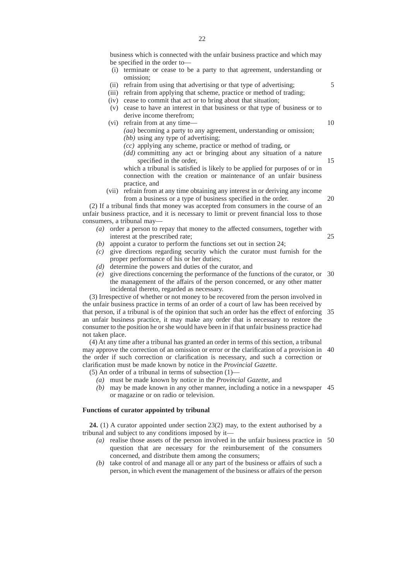business which is connected with the unfair business practice and which may be specified in the order to—

- (i) terminate or cease to be a party to that agreement, understanding or omission;
- (ii) refrain from using that advertising or that type of advertising;
- (iii) refrain from applying that scheme, practice or method of trading;
- (iv) cease to commit that act or to bring about that situation;
- (v) cease to have an interest in that business or that type of business or to derive income therefrom;
- (vi) refrain from at any time— *(aa)* becoming a party to any agreement, understanding or omission; *(bb)* using any type of advertising;
	- *(cc)* applying any scheme, practice or method of trading, or
	- *(dd)* committing any act or bringing about any situation of a nature specified in the order,

which a tribunal is satisfied is likely to be applied for purposes of or in connection with the creation or maintenance of an unfair business practice, and

(vii) refrain from at any time obtaining any interest in or deriving any income from a business or a type of business specified in the order.

(2) If a tribunal finds that money was accepted from consumers in the course of an unfair business practice, and it is necessary to limit or prevent financial loss to those consumers, a tribunal may—

- *(a)* order a person to repay that money to the affected consumers, together with interest at the prescribed rate;
- *(b)* appoint a curator to perform the functions set out in section 24;
- *(c)* give directions regarding security which the curator must furnish for the proper performance of his or her duties;
- *(d)* determine the powers and duties of the curator, and
- *(e)* give directions concerning the performance of the functions of the curator, or 30 the management of the affairs of the person concerned, or any other matter incidental thereto, regarded as necessary.

(3) Irrespective of whether or not money to be recovered from the person involved in the unfair business practice in terms of an order of a court of law has been received by that person, if a tribunal is of the opinion that such an order has the effect of enforcing 35 an unfair business practice, it may make any order that is necessary to restore the consumer to the position he or she would have been in if that unfair business practice had not taken place.

(4) At any time after a tribunal has granted an order in terms of this section, a tribunal may approve the correction of an omission or error or the clarification of a provision in 40 the order if such correction or clarification is necessary, and such a correction or clarification must be made known by notice in the *Provincial Gazette*.

- (5) An order of a tribunal in terms of subsection  $(1)$ 
	- *(a)* must be made known by notice in the *Provincial Gazette,* and
	- *(b)* may be made known in any other manner, including a notice in a newspaper 45 or magazine or on radio or television.

## **Functions of curator appointed by tribunal**

**24.** (1) A curator appointed under section 23(2) may, to the extent authorised by a tribunal and subject to any conditions imposed by it—

- *(a)* realise those assets of the person involved in the unfair business practice in 50question that are necessary for the reimbursement of the consumers concerned, and distribute them among the consumers;
- *(b)* take control of and manage all or any part of the business or affairs of such a person, in which event the management of the business or affairs of the person

5

10

15

20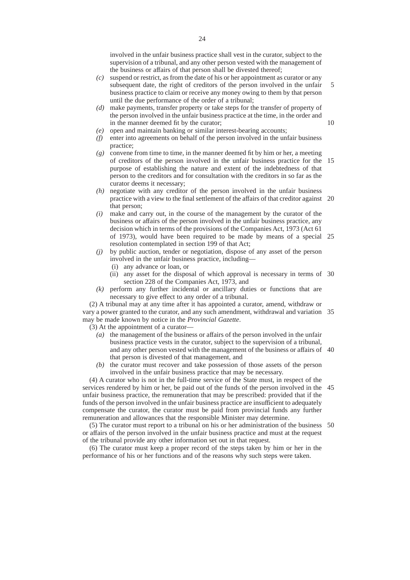involved in the unfair business practice shall vest in the curator, subject to the supervision of a tribunal, and any other person vested with the management of the business or affairs of that person shall be divested thereof;

- *(c)* suspend or restrict, as from the date of his or her appointment as curator or any subsequent date, the right of creditors of the person involved in the unfair business practice to claim or receive any money owing to them by that person until the due performance of the order of a tribunal; 5
- *(d)* make payments, transfer property or take steps for the transfer of property of the person involved in the unfair business practice at the time, in the order and in the manner deemed fit by the curator;
- *(e)* open and maintain banking or similar interest-bearing accounts;
- *(f)* enter into agreements on behalf of the person involved in the unfair business practice;
- *(g)* convene from time to time, in the manner deemed fit by him or her, a meeting of creditors of the person involved in the unfair business practice for the 15 purpose of establishing the nature and extent of the indebtedness of that person to the creditors and for consultation with the creditors in so far as the curator deems it necessary;
- *(h)* negotiate with any creditor of the person involved in the unfair business practice with a view to the final settlement of the affairs of that creditor against 20 that person;
- *(i)* make and carry out, in the course of the management by the curator of the business or affairs of the person involved in the unfair business practice, any decision which in terms of the provisions of the Companies Act, 1973 (Act 61 of 1973), would have been required to be made by means of a special 25 resolution contemplated in section 199 of that Act;
- *(j)* by public auction, tender or negotiation, dispose of any asset of the person involved in the unfair business practice, including—
	- (i) any advance or loan, or
	- (ii) any asset for the disposal of which approval is necessary in terms of 30 section 228 of the Companies Act, 1973, and
- *(k)* perform any further incidental or ancillary duties or functions that are necessary to give effect to any order of a tribunal.

(2) A tribunal may at any time after it has appointed a curator, amend, withdraw or vary a power granted to the curator, and any such amendment, withdrawal and variation 35 may be made known by notice in the *Provincial Gazette*.

(3) At the appointment of a curator—

- *(a)* the management of the business or affairs of the person involved in the unfair business practice vests in the curator, subject to the supervision of a tribunal, and any other person vested with the management of the business or affairs of 40 that person is divested of that management, and
- *(b)* the curator must recover and take possession of those assets of the person involved in the unfair business practice that may be necessary.

(4) A curator who is not in the full-time service of the State must, in respect of the services rendered by him or her, be paid out of the funds of the person involved in the 45 unfair business practice, the remuneration that may be prescribed: provided that if the funds of the person involved in the unfair business practice are insufficient to adequately compensate the curator, the curator must be paid from provincial funds any further remuneration and allowances that the responsible Minister may determine.

(5) The curator must report to a tribunal on his or her administration of the business 50or affairs of the person involved in the unfair business practice and must at the request of the tribunal provide any other information set out in that request.

(6) The curator must keep a proper record of the steps taken by him or her in the performance of his or her functions and of the reasons why such steps were taken.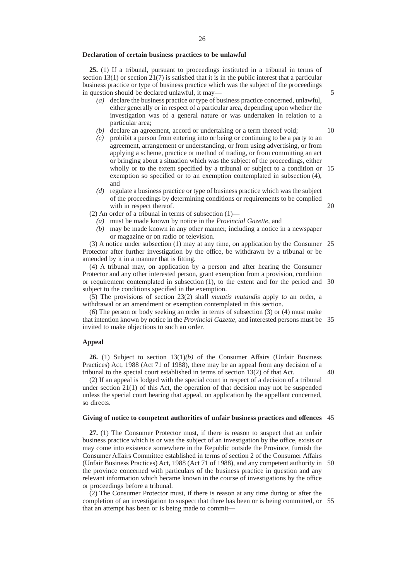#### **Declaration of certain business practices to be unlawful**

**25.** (1) If a tribunal, pursuant to proceedings instituted in a tribunal in terms of section  $13(1)$  or section  $21(7)$  is satisfied that it is in the public interest that a particular business practice or type of business practice which was the subject of the proceedings in question should be declared unlawful, it may—

- *(a)* declare the business practice or type of business practice concerned, unlawful, either generally or in respect of a particular area, depending upon whether the investigation was of a general nature or was undertaken in relation to a particular area;
- *(b)* declare an agreement, accord or undertaking or a term thereof void;
- *(c)* prohibit a person from entering into or being or continuing to be a party to an agreement, arrangement or understanding, or from using advertising, or from applying a scheme, practice or method of trading, or from committing an act or bringing about a situation which was the subject of the proceedings, either wholly or to the extent specified by a tribunal or subject to a condition or 15 exemption so specified or to an exemption contemplated in subsection (4), and
- *(d)* regulate a business practice or type of business practice which was the subject of the proceedings by determining conditions or requirements to be complied with in respect thereof.
- (2) An order of a tribunal in terms of subsection  $(1)$ 
	- *(a)* must be made known by notice in the *Provincial Gazette,* and
	- *(b)* may be made known in any other manner, including a notice in a newspaper or magazine or on radio or television.

(3) A notice under subsection (1) may at any time, on application by the Consumer 25 Protector after further investigation by the office, be withdrawn by a tribunal or be amended by it in a manner that is fitting.

(4) A tribunal may, on application by a person and after hearing the Consumer Protector and any other interested person, grant exemption from a provision, condition or requirement contemplated in subsection (1), to the extent and for the period and 30 subject to the conditions specified in the exemption.

(5) The provisions of section 23(2) shall *mutatis mutandis* apply to an order, a withdrawal or an amendment or exemption contemplated in this section.

(6) The person or body seeking an order in terms of subsection (3) or (4) must make that intention known by notice in the *Provincial Gazette*, and interested persons must be 35 invited to make objections to such an order.

#### **Appeal**

**26.** (1) Subject to section 13(1)*(b)* of the Consumer Affairs (Unfair Business Practices) Act, 1988 (Act 71 of 1988), there may be an appeal from any decision of a tribunal to the special court established in terms of section 13(2) of that Act.

40

(2) If an appeal is lodged with the special court in respect of a decision of a tribunal under section 21(1) of this Act, the operation of that decision may not be suspended unless the special court hearing that appeal, on application by the appellant concerned, so directs.

#### **Giving of notice to competent authorities of unfair business practices and offences** 45

**27.** (1) The Consumer Protector must, if there is reason to suspect that an unfair business practice which is or was the subject of an investigation by the office, exists or may come into existence somewhere in the Republic outside the Province, furnish the Consumer Affairs Committee established in terms of section 2 of the Consumer Affairs (Unfair Business Practices) Act, 1988 (Act 71 of 1988), and any competent authority in 50 the province concerned with particulars of the business practice in question and any relevant information which became known in the course of investigations by the office or proceedings before a tribunal.

(2) The Consumer Protector must, if there is reason at any time during or after the completion of an investigation to suspect that there has been or is being committed, or 55that an attempt has been or is being made to commit—

10

5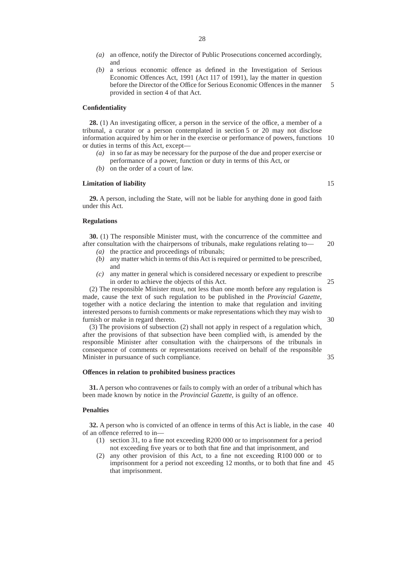- *(a)* an offence, notify the Director of Public Prosecutions concerned accordingly, and
- *(b)* a serious economic offence as defined in the Investigation of Serious Economic Offences Act, 1991 (Act 117 of 1991), lay the matter in question before the Director of the Office for Serious Economic Offences in the manner provided in section 4 of that Act. 5

#### **Confidentiality**

**28.** (1) An investigating officer, a person in the service of the office, a member of a tribunal, a curator or a person contemplated in section 5 or 20 may not disclose information acquired by him or her in the exercise or performance of powers, functions 10 or duties in terms of this Act, except—

- *(a)* in so far as may be necessary for the purpose of the due and proper exercise or performance of a power, function or duty in terms of this Act, or
- *(b)* on the order of a court of law.

#### **Limitation of liability**

**29.** A person, including the State, will not be liable for anything done in good faith under this Act.

## **Regulations**

**30.** (1) The responsible Minister must, with the concurrence of the committee and after consultation with the chairpersons of tribunals, make regulations relating to—

- *(a)* the practice and proceedings of tribunals;
- *(b)* any matter which in terms of this Act is required or permitted to be prescribed, and
- *(c)* any matter in general which is considered necessary or expedient to prescribe in order to achieve the objects of this Act.

25

30

35

20

(2) The responsible Minister must, not less than one month before any regulation is made, cause the text of such regulation to be published in the *Provincial Gazette,* together with a notice declaring the intention to make that regulation and inviting interested persons to furnish comments or make representations which they may wish to furnish or make in regard thereto.

(3) The provisions of subsection (2) shall not apply in respect of a regulation which, after the provisions of that subsection have been complied with, is amended by the responsible Minister after consultation with the chairpersons of the tribunals in consequence of comments or representations received on behalf of the responsible Minister in pursuance of such compliance.

#### **Offences in relation to prohibited business practices**

**31.** A person who contravenes or fails to comply with an order of a tribunal which has been made known by notice in the *Provincial Gazette*, is guilty of an offence.

## **Penalties**

**32.** A person who is convicted of an offence in terms of this Act is liable, in the case 40 of an offence referred to in—

- (1) section 31, to a fine not exceeding R200 000 or to imprisonment for a period not exceeding five years or to both that fine and that imprisonment, and
- (2) any other provision of this Act, to a fine not exceeding R100 000 or to imprisonment for a period not exceeding 12 months, or to both that fine and 45that imprisonment.